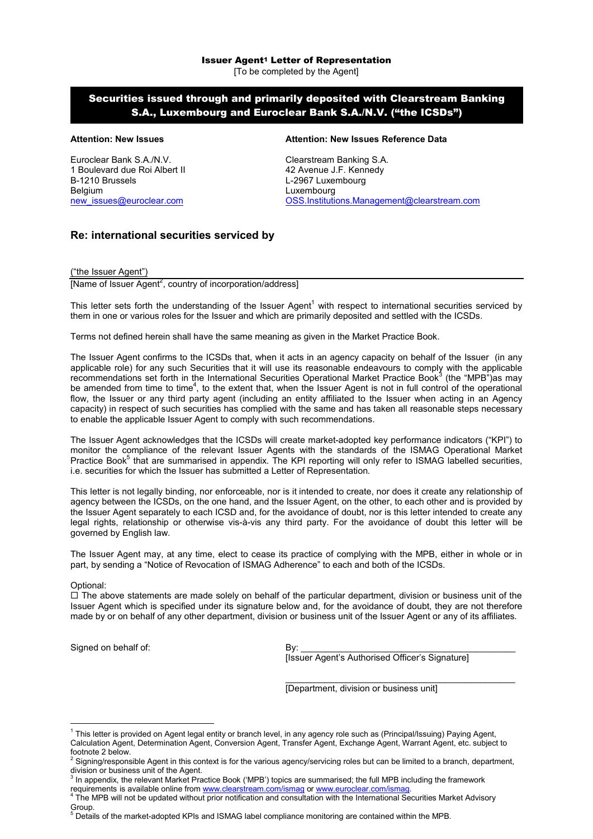# Securities issued through and primarily deposited with Clearstream Banking S.A., Luxembourg and Euroclear Bank S.A./N.V. ("the ICSDs")

Euroclear Bank S.A./N.V. Clearstream Banking S.A. 1 Boulevard due Roi Albert II 42 Avenue J.F. Kennedy<br>
B-1210 Brussels<br>
L-2967 Luxembourg B-1210 Brussels **L-2967 Luxembourg**<br>Belgium Luxembourg Luxembourg

## **Attention: New Issues Attention: New Issues Reference Data**

Luxembourg [new\\_issues@euroclear.com](mailto:new_issues@euroclear.com) [OSS.Institutions.Management@clearstream.com](mailto:OSS.Institutions.Management@clearstream.com)

# **Re: international securities serviced by**

("the Issuer Agent")

[Name of Issuer Agent<sup>2</sup>, country of incorporation/address]

This letter sets forth the understanding of the Issuer Agent<sup>1</sup> with respect to international securities serviced by them in one or various roles for the Issuer and which are primarily deposited and settled with the ICSDs.

Terms not defined herein shall have the same meaning as given in the Market Practice Book.

The Issuer Agent confirms to the ICSDs that, when it acts in an agency capacity on behalf of the Issuer (in any applicable role) for any such Securities that it will use its reasonable endeavours to comply with the applicable recommendations set forth in the International Securities Operational Market Practice Book<sup>3</sup> (the "MPB")as may be amended from time to time<sup>4</sup>, to the extent that, when the Issuer Agent is not in full control of the operational flow, the Issuer or any third party agent (including an entity affiliated to the Issuer when acting in an Agency capacity) in respect of such securities has complied with the same and has taken all reasonable steps necessary to enable the applicable Issuer Agent to comply with such recommendations.

The Issuer Agent acknowledges that the ICSDs will create market-adopted key performance indicators ("KPI") to monitor the compliance of the relevant Issuer Agents with the standards of the ISMAG Operational Market Practice Book<sup>5</sup> that are summarised in appendix. The KPI reporting will only refer to ISMAG labelled securities, i.e. securities for which the Issuer has submitted a Letter of Representation.

This letter is not legally binding, nor enforceable, nor is it intended to create, nor does it create any relationship of agency between the ICSDs, on the one hand, and the Issuer Agent, on the other, to each other and is provided by the Issuer Agent separately to each ICSD and, for the avoidance of doubt, nor is this letter intended to create any legal rights, relationship or otherwise vis-à-vis any third party. For the avoidance of doubt this letter will be governed by English law.

The Issuer Agent may, at any time, elect to cease its practice of complying with the MPB, either in whole or in part, by sending a "Notice of Revocation of ISMAG Adherence" to each and both of the ICSDs.

### Optional:

 $\overline{a}$ 

 $\Box$  The above statements are made solely on behalf of the particular department, division or business unit of the Issuer Agent which is specified under its signature below and, for the avoidance of doubt, they are not therefore made by or on behalf of any other department, division or business unit of the Issuer Agent or any of its affiliates.

Signed on behalf of: By:

[Issuer Agent's Authorised Officer's Signature]

\_\_\_\_\_\_\_\_\_\_\_\_\_\_\_\_\_\_\_\_\_\_\_\_\_\_\_\_\_\_\_\_\_\_\_\_\_\_\_\_\_\_\_\_\_\_

[Department, division or business unit]

<sup>&</sup>lt;sup>1</sup> This letter is provided on Agent legal entity or branch level, in any agency role such as (Principal/Issuing) Paying Agent, Calculation Agent, Determination Agent, Conversion Agent, Transfer Agent, Exchange Agent, Warrant Agent, etc. subject to footnote 2 below.

<sup>&</sup>lt;sup>2</sup> Signing/responsible Agent in this context is for the various agency/servicing roles but can be limited to a branch, department, division or business unit of the Agent.

<sup>&</sup>lt;sup>3</sup> In appendix, the relevant Market Practice Book ('MPB') topics are summarised; the full MPB including the framework

requirements is available online from <www.clearstream.com/ismag>or<www.euroclear.com/ismag>.

<sup>4</sup> The MPB will not be updated without prior notification and consultation with the International Securities Market Advisory **Group.** 

 $<sup>5</sup>$  Details of the market-adopted KPIs and ISMAG label compliance monitoring are contained within the MPB.</sup>